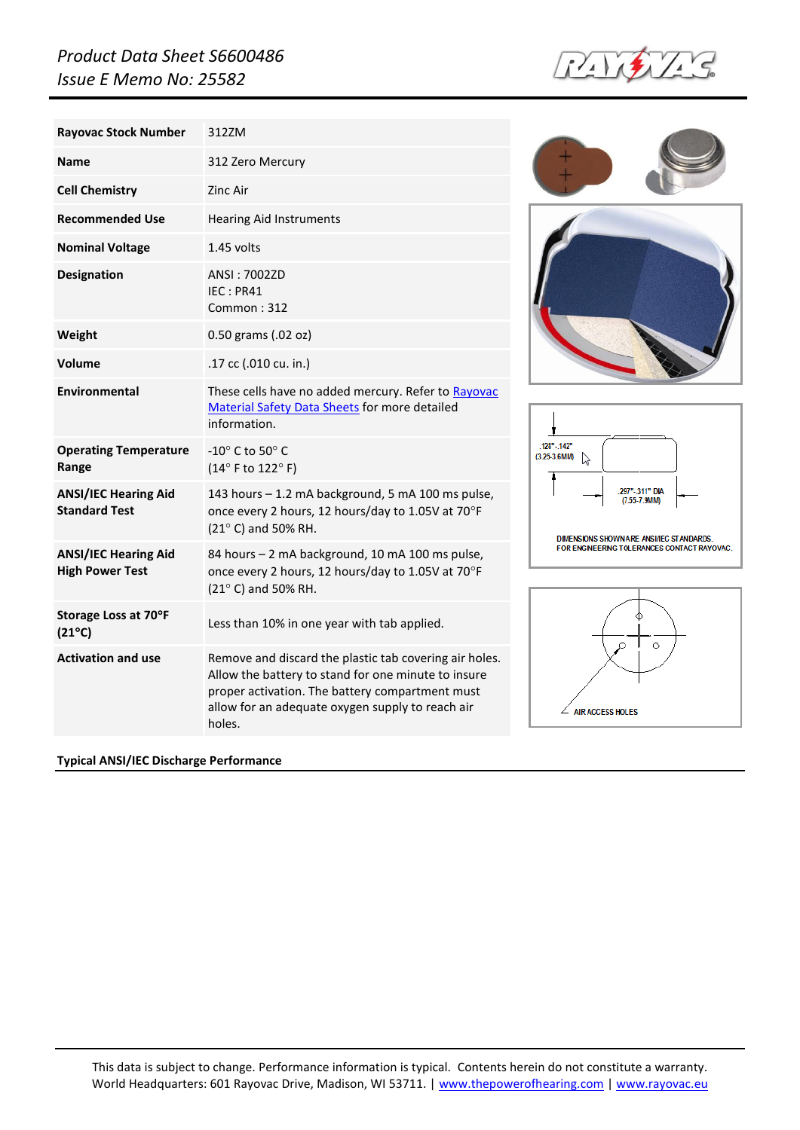## *Product Data Sheet S6600486 Issue E Memo No: 25582*



| <b>Rayovac Stock Number</b>                           | 312ZM                                                                                                                                                                                                                          |
|-------------------------------------------------------|--------------------------------------------------------------------------------------------------------------------------------------------------------------------------------------------------------------------------------|
| <b>Name</b>                                           | 312 Zero Mercury                                                                                                                                                                                                               |
| <b>Cell Chemistry</b>                                 | Zinc Air                                                                                                                                                                                                                       |
| <b>Recommended Use</b>                                | <b>Hearing Aid Instruments</b>                                                                                                                                                                                                 |
| <b>Nominal Voltage</b>                                | 1.45 volts                                                                                                                                                                                                                     |
| <b>Designation</b>                                    | ANSI: 7002ZD<br>IEC: PR41<br>Common: 312                                                                                                                                                                                       |
| Weight                                                | 0.50 grams (.02 oz)                                                                                                                                                                                                            |
| Volume                                                | .17 cc (.010 cu. in.)                                                                                                                                                                                                          |
| Environmental                                         | These cells have no added mercury. Refer to Rayovac<br>Material Safety Data Sheets for more detailed<br>information.                                                                                                           |
| <b>Operating Temperature</b><br>Range                 | -10 $^{\circ}$ C to 50 $^{\circ}$ C<br>(14°F to 122°F)                                                                                                                                                                         |
| <b>ANSI/IEC Hearing Aid</b><br><b>Standard Test</b>   | 143 hours - 1.2 mA background, 5 mA 100 ms pulse,<br>once every 2 hours, 12 hours/day to 1.05V at 70°F<br>(21° C) and 50% RH.                                                                                                  |
| <b>ANSI/IEC Hearing Aid</b><br><b>High Power Test</b> | 84 hours - 2 mA background, 10 mA 100 ms pulse,<br>once every 2 hours, 12 hours/day to 1.05V at 70°F<br>(21° C) and 50% RH.                                                                                                    |
| Storage Loss at 70°F<br>$(21^{\circ}C)$               | Less than 10% in one year with tab applied.                                                                                                                                                                                    |
| <b>Activation and use</b>                             | Remove and discard the plastic tab covering air holes.<br>Allow the battery to stand for one minute to insure<br>proper activation. The battery compartment must<br>allow for an adequate oxygen supply to reach air<br>holes. |

## **Typical ANSI/IEC Discharge Performance**







This data is subject to change. Performance information is typical. Contents herein do not constitute a warranty. World Headquarters: 601 Rayovac Drive, Madison, WI 53711. [| www.thepowerofhearing.com](http://www.thepowerofhearing.com/) [| www.rayovac.eu](http://www.rayovac.eu/)